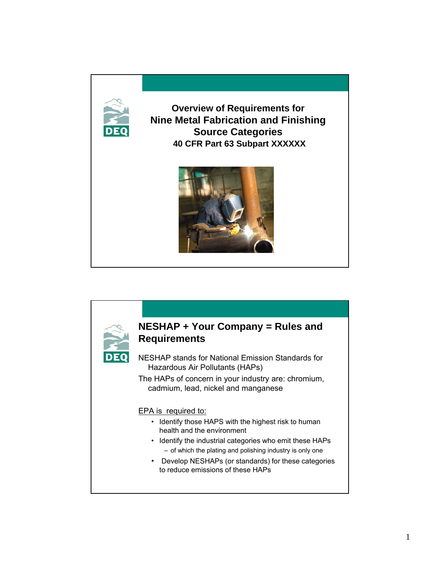

**Overview of Requirements for Nine Metal Fabrication and Finishing Source Categories 40 CFR Part 63 Subpart XXXXXX**



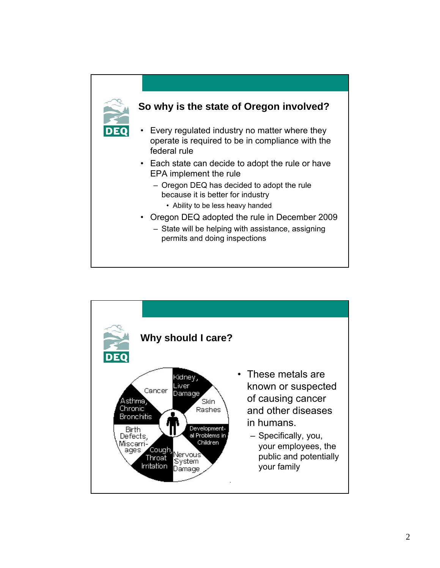![](_page_1_Figure_0.jpeg)

![](_page_1_Figure_1.jpeg)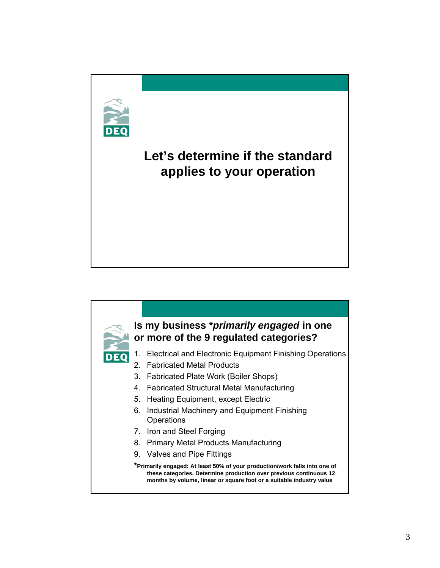# **Let's determine if the standard applies to your operation**

![](_page_2_Picture_1.jpeg)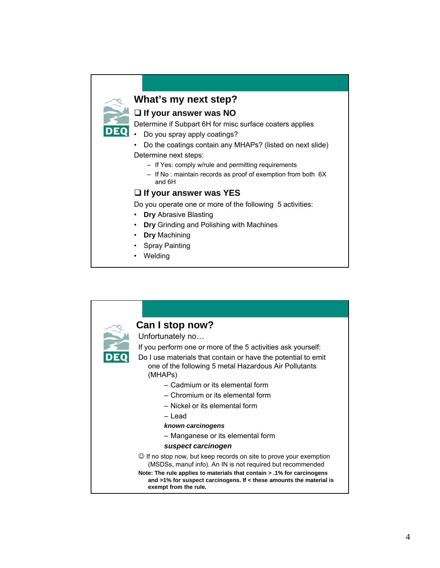# **What's my next step?**

**If your answer was NO**

#### Determine if Subpart 6H for misc surface coaters applies

- Do you spray apply coatings?
- Do the coatings contain any MHAPs? (listed on next slide) Determine next steps:
	- If Yes: comply w/rule and permitting requirements
	- If No : maintain records as proof of exemption from both 6X and 6H

#### **If your answer was YES**

Do you operate one or more of the following 5 activities:

- **Dry** Abrasive Blasting
- **Dry** Grinding and Polishing with Machines
- **Dry** Machining
- Spray Painting
- Welding

![](_page_3_Figure_14.jpeg)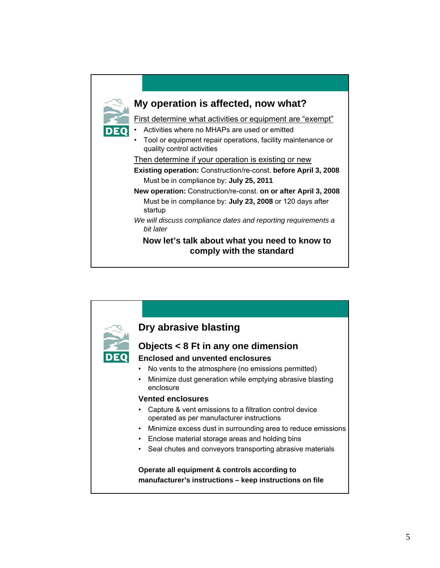![](_page_4_Figure_0.jpeg)

![](_page_4_Figure_1.jpeg)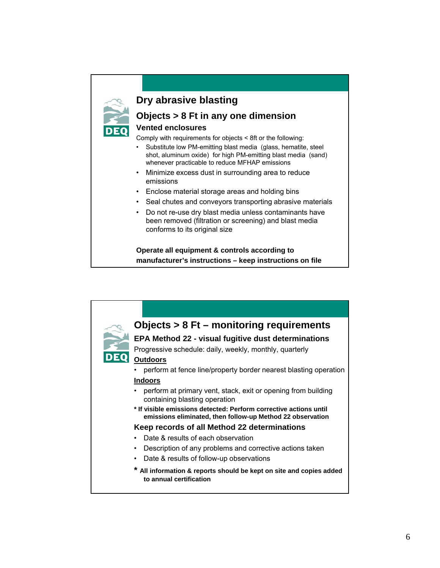## **Dry abrasive blasting**

### **Objects > 8 Ft in any one dimension**

#### **Vented enclosures**

Comply with requirements for objects < 8ft or the following:

- Substitute low PM-emitting blast media (glass, hematite, steel shot, aluminum oxide) for high PM-emitting blast media (sand) whenever practicable to reduce MFHAP emissions
- Minimize excess dust in surrounding area to reduce emissions
- Enclose material storage areas and holding bins
- Seal chutes and conveyors transporting abrasive materials
- Do not re-use dry blast media unless contaminants have been removed (filtration or screening) and blast media conforms to its original size

**Operate all equipment & controls according to manufacturer's instructions – keep instructions on file**

![](_page_5_Figure_10.jpeg)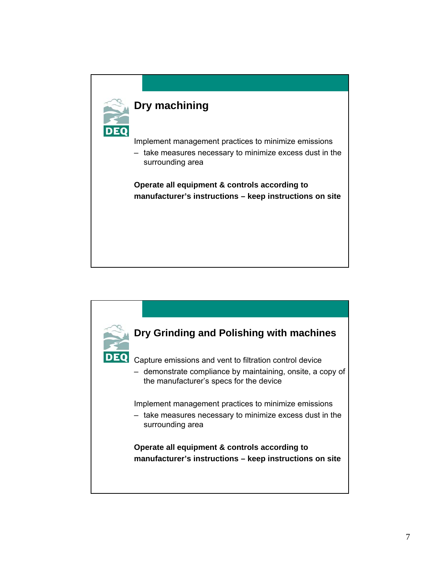![](_page_6_Figure_0.jpeg)

![](_page_6_Picture_1.jpeg)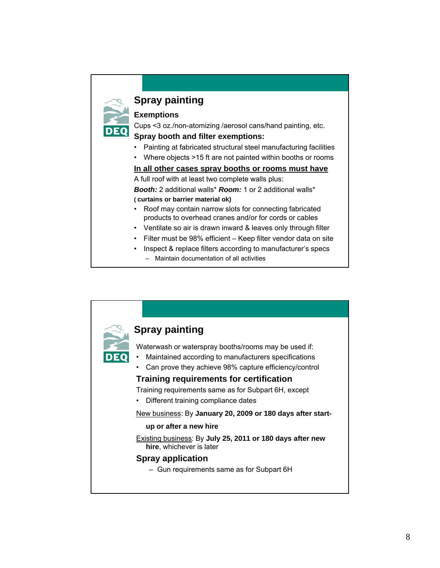# **Spray painting**

#### **Exemptions**

Cups <3 oz./non-atomizing /aerosol cans/hand painting, etc.

#### **Spray booth and filter exemptions:**

- Painting at fabricated structural steel manufacturing facilities
- Where objects >15 ft are not painted within booths or rooms

#### **In all other cases spray booths or rooms must have**

A full roof with at least two complete walls plus: *Booth:* 2 additional walls\* *Room:* 1 or 2 additional walls\*

#### **( curtains or barrier material ok)**

- Roof may contain narrow slots for connecting fabricated products to overhead cranes and/or for cords or cables
- Ventilate so air is drawn inward & leaves only through filter
- Filter must be 98% efficient Keep filter vendor data on site
- Inspect & replace filters according to manufacturer's specs – Maintain documentation of all activities

![](_page_7_Picture_13.jpeg)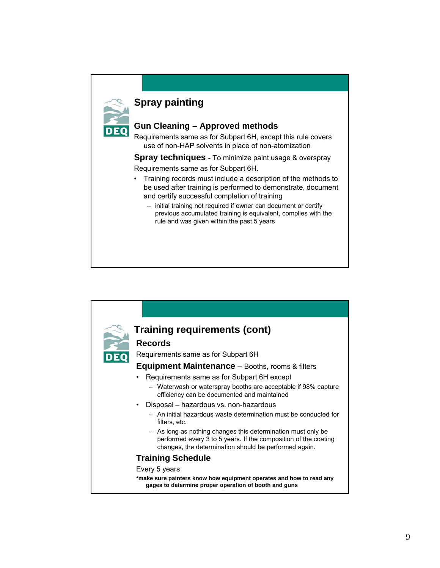# **Spray painting**

#### **Gun Cleaning – Approved methods**

Requirements same as for Subpart 6H, except this rule covers use of non-HAP solvents in place of non-atomization

**Spray techniques** - To minimize paint usage & overspray

Requirements same as for Subpart 6H.

- Training records must include a description of the methods to be used after training is performed to demonstrate, document and certify successful completion of training
	- initial training not required if owner can document or certify previous accumulated training is equivalent, complies with the rule and was given within the past 5 years

![](_page_8_Figure_7.jpeg)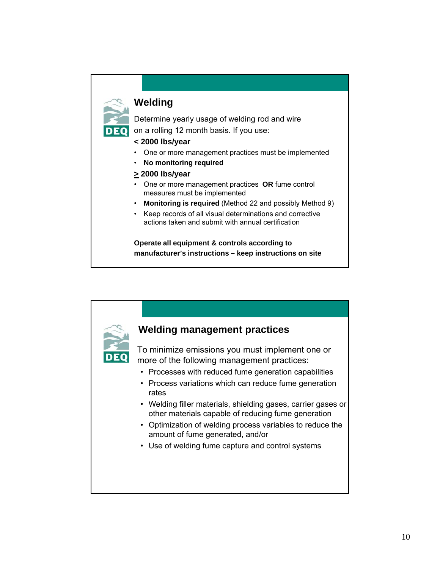# **Welding**

Determine yearly usage of welding rod and wire

on a rolling 12 month basis. If you use:

#### **< 2000 lbs/year**

- One or more management practices must be implemented
- **No monitoring required**
- **> 2000 lbs/year**
- One or more management practices **OR** fume control measures must be implemented
- **Monitoring is required** (Method 22 and possibly Method 9)
- Keep records of all visual determinations and corrective actions taken and submit with annual certification

**Operate all equipment & controls according to manufacturer's instructions – keep instructions on site**

![](_page_9_Figure_11.jpeg)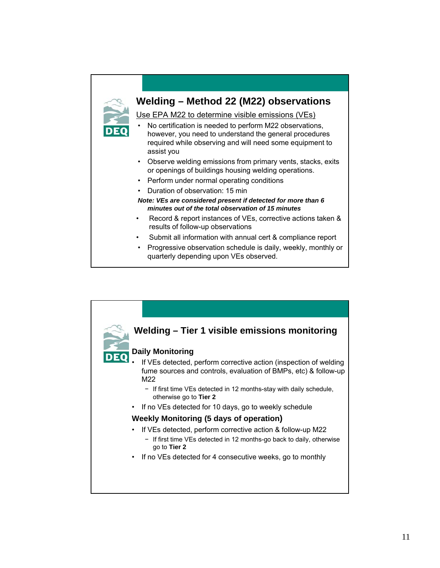![](_page_10_Figure_0.jpeg)

Use EPA M22 to determine visible emissions (VEs)

- No certification is needed to perform M22 observations, however, you need to understand the general procedures required while observing and will need some equipment to assist you
- Observe welding emissions from primary vents, stacks, exits or openings of buildings housing welding operations.
- Perform under normal operating conditions
- Duration of observation: 15 min
- *Note: VEs are considered present if detected for more than 6 minutes out of the total observation of 15 minutes*
- Record & report instances of VEs, corrective actions taken & results of follow-up observations
- Submit all information with annual cert & compliance report
- Progressive observation schedule is daily, weekly, monthly or quarterly depending upon VEs observed.

![](_page_10_Figure_10.jpeg)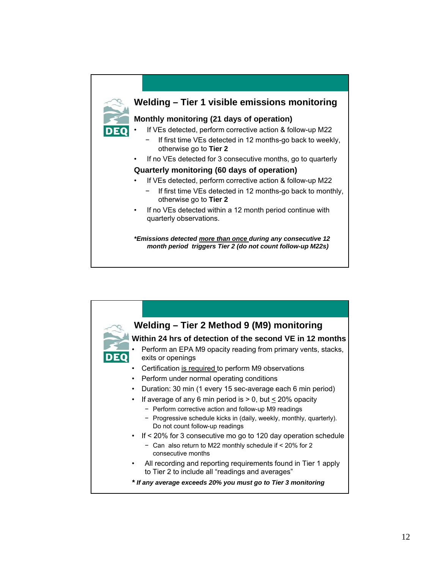![](_page_11_Figure_0.jpeg)

![](_page_11_Figure_1.jpeg)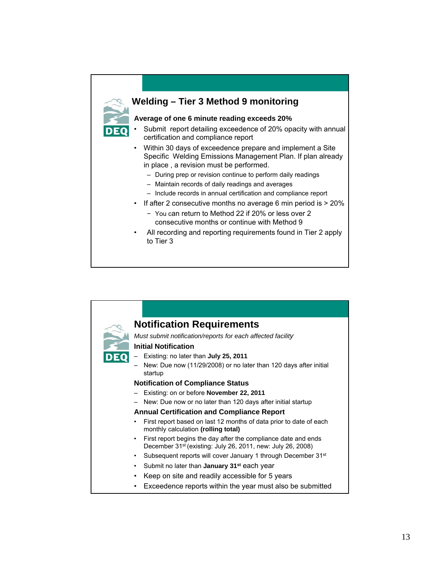![](_page_12_Figure_0.jpeg)

![](_page_12_Picture_1.jpeg)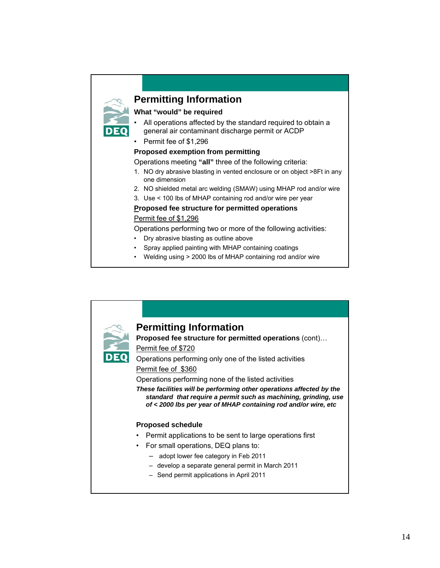## **Permitting Information**

#### **What "would" be required**

- All operations affected by the standard required to obtain a general air contaminant discharge permit or ACDP
- Permit fee of \$1,296

#### **Proposed exemption from permitting**

Operations meeting **"all"** three of the following criteria:

- 1. NO dry abrasive blasting in vented enclosure or on object >8Ft in any one dimension
- 2. NO shielded metal arc welding (SMAW) using MHAP rod and/or wire
- 3. Use < 100 lbs of MHAP containing rod and/or wire per year

#### **Proposed fee structure for permitted operations**

#### Permit fee of \$1,296

Operations performing two or more of the following activities:

- Dry abrasive blasting as outline above
- Spray applied painting with MHAP containing coatings
- Welding using > 2000 lbs of MHAP containing rod and/or wire

![](_page_13_Picture_15.jpeg)

14